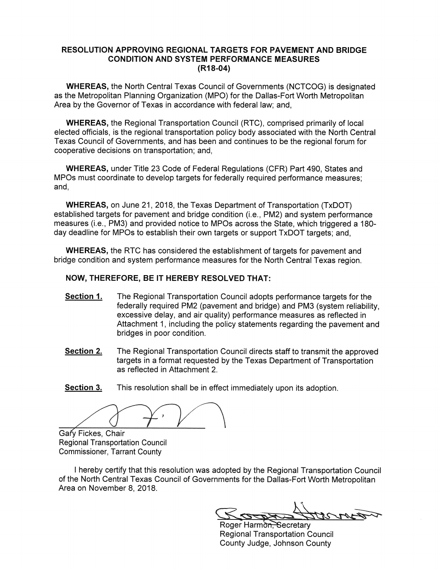#### **RESOLUTION APPROVING REGIONAL TARGETS FOR PAVEMENT AND BRIDGE CONDITION AND SYSTEM PERFORMANCE MEASURES**  $(R18-04)$

**WHEREAS, the North Central Texas Council of Governments (NCTCOG) is designated** as the Metropolitan Planning Organization (MPO) for the Dallas-Fort Worth Metropolitan Area by the Governor of Texas in accordance with federal law; and,

**WHEREAS, the Regional Transportation Council (RTC), comprised primarily of local** elected officials, is the regional transportation policy body associated with the North Central Texas Council of Governments, and has been and continues to be the regional forum for cooperative decisions on transportation; and,

**WHEREAS, under Title 23 Code of Federal Regulations (CFR) Part 490, States and** MPOs must coordinate to develop targets for federally required performance measures; and.

**WHEREAS, on June 21, 2018, the Texas Department of Transportation (TxDOT)** established targets for pavement and bridge condition (i.e., PM2) and system performance measures (i.e., PM3) and provided notice to MPOs across the State, which triggered a 180day deadline for MPOs to establish their own targets or support TxDOT targets; and,

**WHEREAS, the RTC has considered the establishment of targets for pavement and** bridge condition and system performance measures for the North Central Texas region.

#### NOW, THEREFORE, BE IT HEREBY RESOLVED THAT:

- Section 1. The Regional Transportation Council adopts performance targets for the federally required PM2 (pavement and bridge) and PM3 (system reliability. excessive delay, and air quality) performance measures as reflected in Attachment 1, including the policy statements regarding the pavement and bridges in poor condition.
- Section 2. The Regional Transportation Council directs staff to transmit the approved targets in a format requested by the Texas Department of Transportation as reflected in Attachment 2.

Section 3. This resolution shall be in effect immediately upon its adoption.

Gary Fickes, Chair **Regional Transportation Council Commissioner, Tarrant County** 

I hereby certify that this resolution was adopted by the Regional Transportation Council of the North Central Texas Council of Governments for the Dallas-Fort Worth Metropolitan Area on November 8, 2018.

Roger Harmon, Secretary **Regional Transportation Council** County Judge, Johnson County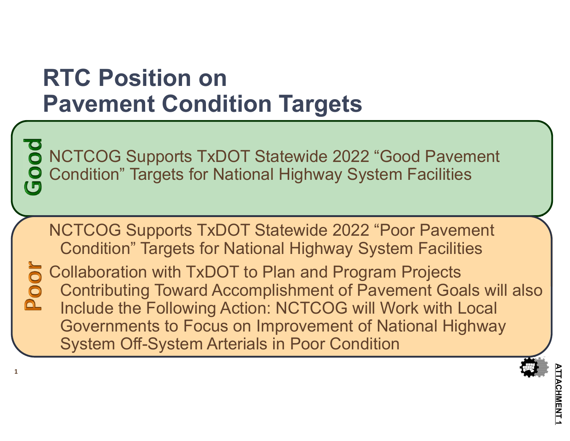### **RTC Position onPavement Condition Targets**

**1**

NCTCOG Supports TxDOT Statewide 2022 "Good Pavement Condition" Targets for National Highway System Facilities

NCTCOG Supports TxDOT Statewide 2022 "Poor Pavement Condition" Targets for National Highway System Facilities

Collaboration with TxDOT to Plan and Program Projects Contributing Toward Accomplishment of Pavement Goals will also Include the Following Action: NCTCOG will Work with Local Governments to Focus on Improvement of National Highway System Off-System Arterials in Poor Condition

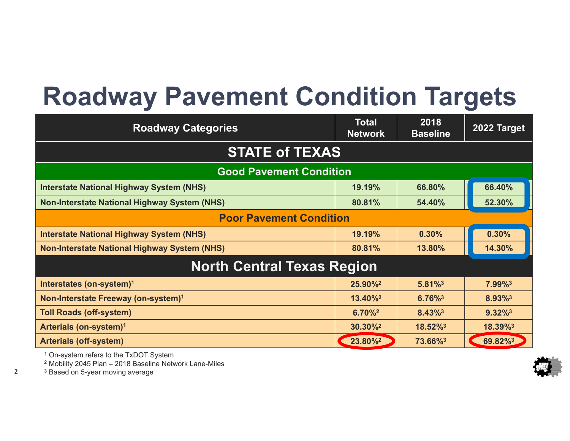## **Roadway Pavement Condition Targets**

| <b>Roadway Categories</b>                           | <b>Total</b><br><b>Network</b> | 2018<br><b>Baseline</b> | 2022 Target           |  |  |  |  |  |  |
|-----------------------------------------------------|--------------------------------|-------------------------|-----------------------|--|--|--|--|--|--|
| <b>STATE of TEXAS</b>                               |                                |                         |                       |  |  |  |  |  |  |
| <b>Good Pavement Condition</b>                      |                                |                         |                       |  |  |  |  |  |  |
| <b>Interstate National Highway System (NHS)</b>     | 19.19%                         | 66.80%                  | 66.40%                |  |  |  |  |  |  |
| <b>Non-Interstate National Highway System (NHS)</b> | 80.81%                         | 54.40%                  | 52.30%                |  |  |  |  |  |  |
| <b>Poor Pavement Condition</b>                      |                                |                         |                       |  |  |  |  |  |  |
| <b>Interstate National Highway System (NHS)</b>     | 19.19%                         | 0.30%                   | 0.30%                 |  |  |  |  |  |  |
| <b>Non-Interstate National Highway System (NHS)</b> | 80.81%                         | 13.80%                  | 14.30%                |  |  |  |  |  |  |
| <b>North Central Texas Region</b>                   |                                |                         |                       |  |  |  |  |  |  |
| Interstates (on-system) <sup>1</sup>                | 25.90%                         | $5.81\%$ <sup>3</sup>   | 7.99%3                |  |  |  |  |  |  |
| Non-Interstate Freeway (on-system) <sup>1</sup>     | $13.40\%$ <sup>2</sup>         | $6.76\%$ <sup>3</sup>   | 8.93%                 |  |  |  |  |  |  |
| <b>Toll Roads (off-system)</b>                      | $6.70\%$ <sup>2</sup>          | 8.43%3                  | $9.32\%$ <sup>3</sup> |  |  |  |  |  |  |
| Arterials (on-system) <sup>1</sup>                  | $30.30\%^2$                    | 18.52%                  | 18.39%3               |  |  |  |  |  |  |
| <b>Arterials (off-system)</b>                       | 23.80%                         | 73.66%3                 | 69.82%3               |  |  |  |  |  |  |

1 On-system refers to the TxDOT System

2 Mobility 2045 Plan – 2018 Baseline Network Lane-Miles

 $^3$  Based on 5-year moving average

**2**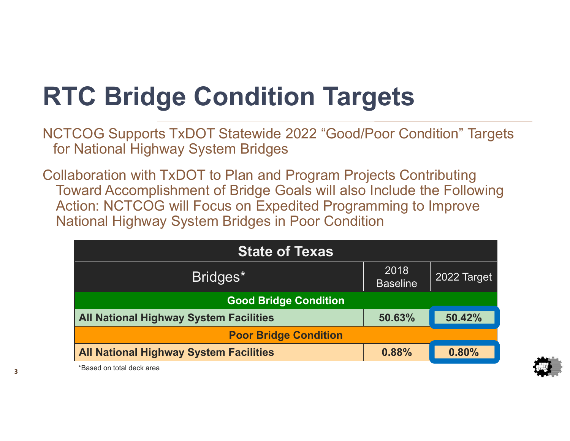# **RTC Bridge Condition Targets**

NCTCOG Supports TxDOT Statewide 2022 "Good/Poor Condition" Targets for National Highway System Bridges

Collaboration with TxDOT to Plan and Program Projects Contributing Toward Accomplishment of Bridge Goals will also Include the Following Action: NCTCOG will Focus on Expedited Programming to Improve National Highway System Bridges in Poor Condition

| <b>State of Texas</b>                         |                         |             |  |  |  |  |  |
|-----------------------------------------------|-------------------------|-------------|--|--|--|--|--|
| Bridges*                                      | 2018<br><b>Baseline</b> | 2022 Target |  |  |  |  |  |
| <b>Good Bridge Condition</b>                  |                         |             |  |  |  |  |  |
| <b>All National Highway System Facilities</b> | 50.63%                  | 50.42%      |  |  |  |  |  |
| <b>Poor Bridge Condition</b>                  |                         |             |  |  |  |  |  |
| <b>All National Highway System Facilities</b> | 0.88%                   | 0.80%       |  |  |  |  |  |



\*Based on total deck area